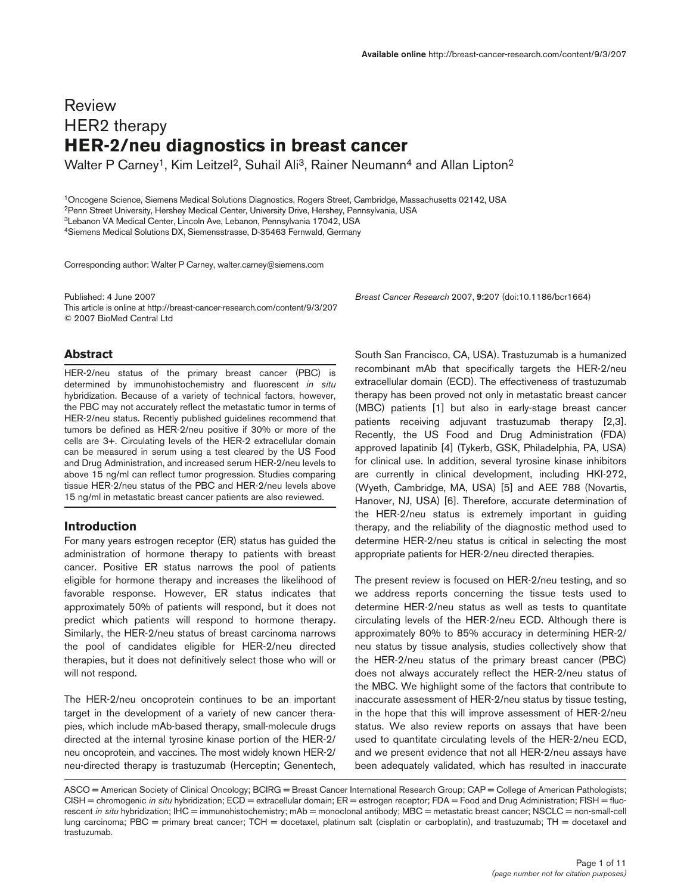# Review HER2 therapy **HER-2/neu diagnostics in breast cancer**

Walter P Carney<sup>1</sup>, Kim Leitzel<sup>2</sup>, Suhail Ali<sup>3</sup>, Rainer Neumann<sup>4</sup> and Allan Lipton<sup>2</sup>

1Oncogene Science, Siemens Medical Solutions Diagnostics, Rogers Street, Cambridge, Massachusetts 02142, USA 2Penn Street University, Hershey Medical Center, University Drive, Hershey, Pennsylvania, USA 3Lebanon VA Medical Center, Lincoln Ave, Lebanon, Pennsylvania 17042, USA 4Siemens Medical Solutions DX, Siemensstrasse, D-35463 Fernwald, Germany

Corresponding author: Walter P Carney, walter.carney@siemens.com

Published: 4 June 2007 *Breast Cancer Research* 2007, **9:**207 (doi:10.1186/bcr1664) This article is online at http://breast-cancer-research.com/content/9/3/207 © 2007 BioMed Central Ltd

#### **Abstract**

HER-2/neu status of the primary breast cancer (PBC) is determined by immunohistochemistry and fluorescent *in situ* hybridization. Because of a variety of technical factors, however, the PBC may not accurately reflect the metastatic tumor in terms of HER-2/neu status. Recently published guidelines recommend that tumors be defined as HER-2/neu positive if 30% or more of the cells are 3+. Circulating levels of the HER-2 extracellular domain can be measured in serum using a test cleared by the US Food and Drug Administration, and increased serum HER-2/neu levels to above 15 ng/ml can reflect tumor progression. Studies comparing tissue HER-2/neu status of the PBC and HER-2/neu levels above 15 ng/ml in metastatic breast cancer patients are also reviewed.

#### **Introduction**

For many years estrogen receptor (ER) status has guided the administration of hormone therapy to patients with breast cancer. Positive ER status narrows the pool of patients eligible for hormone therapy and increases the likelihood of favorable response. However, ER status indicates that approximately 50% of patients will respond, but it does not predict which patients will respond to hormone therapy. Similarly, the HER-2/neu status of breast carcinoma narrows the pool of candidates eligible for HER-2/neu directed therapies, but it does not definitively select those who will or will not respond.

The HER-2/neu oncoprotein continues to be an important target in the development of a variety of new cancer therapies, which include mAb-based therapy, small-molecule drugs directed at the internal tyrosine kinase portion of the HER-2/ neu oncoprotein, and vaccines. The most widely known HER-2/ neu-directed therapy is trastuzumab (Herceptin; Genentech,

South San Francisco, CA, USA). Trastuzumab is a humanized recombinant mAb that specifically targets the HER-2/neu extracellular domain (ECD). The effectiveness of trastuzumab therapy has been proved not only in metastatic breast cancer (MBC) patients [1] but also in early-stage breast cancer patients receiving adjuvant trastuzumab therapy [2,3]. Recently, the US Food and Drug Administration (FDA) approved lapatinib [4] (Tykerb, GSK, Philadelphia, PA, USA) for clinical use. In addition, several tyrosine kinase inhibitors are currently in clinical development, including HKI-272, (Wyeth, Cambridge, MA, USA) [5] and AEE 788 (Novartis, Hanover, NJ, USA) [6]. Therefore, accurate determination of the HER-2/neu status is extremely important in guiding therapy, and the reliability of the diagnostic method used to determine HER-2/neu status is critical in selecting the most appropriate patients for HER-2/neu directed therapies.

The present review is focused on HER-2/neu testing, and so we address reports concerning the tissue tests used to determine HER-2/neu status as well as tests to quantitate circulating levels of the HER-2/neu ECD. Although there is approximately 80% to 85% accuracy in determining HER-2/ neu status by tissue analysis, studies collectively show that the HER-2/neu status of the primary breast cancer (PBC) does not always accurately reflect the HER-2/neu status of the MBC. We highlight some of the factors that contribute to inaccurate assessment of HER-2/neu status by tissue testing, in the hope that this will improve assessment of HER-2/neu status. We also review reports on assays that have been used to quantitate circulating levels of the HER-2/neu ECD, and we present evidence that not all HER-2/neu assays have been adequately validated, which has resulted in inaccurate

ASCO = American Society of Clinical Oncology; BCIRG = Breast Cancer International Research Group; CAP = College of American Pathologists; CISH = chromogenic *in situ* hybridization; ECD = extracellular domain; ER = estrogen receptor; FDA = Food and Drug Administration; FISH = fluorescent *in situ* hybridization; IHC = immunohistochemistry; mAb = monoclonal antibody; MBC = metastatic breast cancer; NSCLC = non-small-cell lung carcinoma; PBC = primary breat cancer; TCH = docetaxel, platinum salt (cisplatin or carboplatin), and trastuzumab; TH = docetaxel and trastuzumab.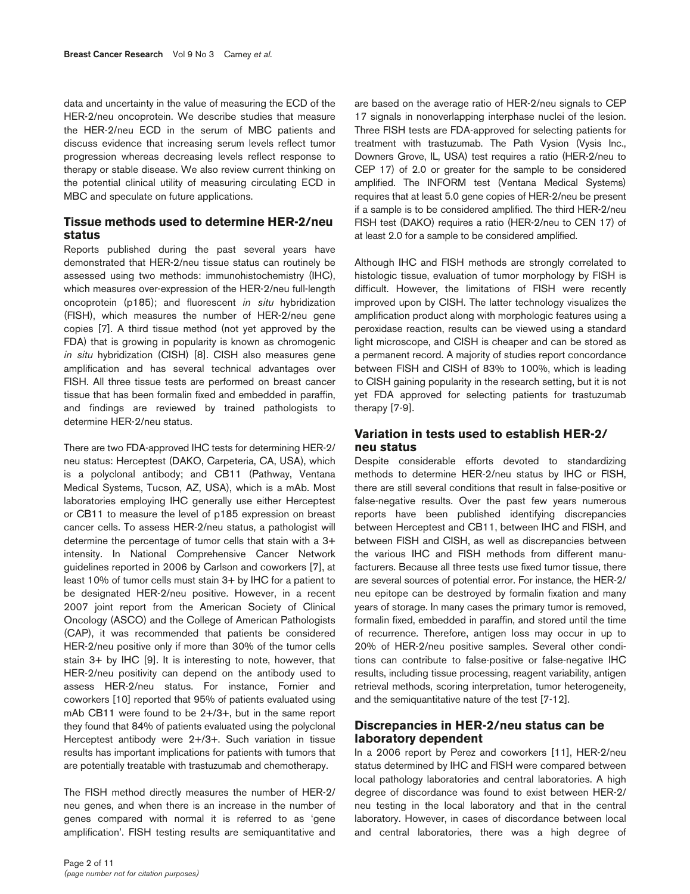data and uncertainty in the value of measuring the ECD of the HER-2/neu oncoprotein. We describe studies that measure the HER-2/neu ECD in the serum of MBC patients and discuss evidence that increasing serum levels reflect tumor progression whereas decreasing levels reflect response to therapy or stable disease. We also review current thinking on the potential clinical utility of measuring circulating ECD in MBC and speculate on future applications.

# **Tissue methods used to determine HER-2/neu status**

Reports published during the past several years have demonstrated that HER-2/neu tissue status can routinely be assessed using two methods: immunohistochemistry (IHC), which measures over-expression of the HER-2/neu full-length oncoprotein (p185); and fluorescent *in situ* hybridization (FISH), which measures the number of HER-2/neu gene copies [7]. A third tissue method (not yet approved by the FDA) that is growing in popularity is known as chromogenic *in situ* hybridization (CISH) [8]. CISH also measures gene amplification and has several technical advantages over FISH. All three tissue tests are performed on breast cancer tissue that has been formalin fixed and embedded in paraffin, and findings are reviewed by trained pathologists to determine HER-2/neu status.

There are two FDA-approved IHC tests for determining HER-2/ neu status: Herceptest (DAKO, Carpeteria, CA, USA), which is a polyclonal antibody; and CB11 (Pathway, Ventana Medical Systems, Tucson, AZ, USA), which is a mAb. Most laboratories employing IHC generally use either Herceptest or CB11 to measure the level of p185 expression on breast cancer cells. To assess HER-2/neu status, a pathologist will determine the percentage of tumor cells that stain with a 3+ intensity. In National Comprehensive Cancer Network guidelines reported in 2006 by Carlson and coworkers [7], at least 10% of tumor cells must stain 3+ by IHC for a patient to be designated HER-2/neu positive. However, in a recent 2007 joint report from the American Society of Clinical Oncology (ASCO) and the College of American Pathologists (CAP), it was recommended that patients be considered HER-2/neu positive only if more than 30% of the tumor cells stain 3+ by IHC [9]. It is interesting to note, however, that HER-2/neu positivity can depend on the antibody used to assess HER-2/neu status. For instance, Fornier and coworkers [10] reported that 95% of patients evaluated using mAb CB11 were found to be 2+/3+, but in the same report they found that 84% of patients evaluated using the polyclonal Herceptest antibody were 2+/3+. Such variation in tissue results has important implications for patients with tumors that are potentially treatable with trastuzumab and chemotherapy.

The FISH method directly measures the number of HER-2/ neu genes, and when there is an increase in the number of genes compared with normal it is referred to as 'gene amplification'. FISH testing results are semiquantitative and

are based on the average ratio of HER-2/neu signals to CEP 17 signals in nonoverlapping interphase nuclei of the lesion. Three FISH tests are FDA-approved for selecting patients for treatment with trastuzumab. The Path Vysion (Vysis Inc., Downers Grove, IL, USA) test requires a ratio (HER-2/neu to CEP 17) of 2.0 or greater for the sample to be considered amplified. The INFORM test (Ventana Medical Systems) requires that at least 5.0 gene copies of HER-2/neu be present if a sample is to be considered amplified. The third HER-2/neu FISH test (DAKO) requires a ratio (HER-2/neu to CEN 17) of at least 2.0 for a sample to be considered amplified.

Although IHC and FISH methods are strongly correlated to histologic tissue, evaluation of tumor morphology by FISH is difficult. However, the limitations of FISH were recently improved upon by CISH. The latter technology visualizes the amplification product along with morphologic features using a peroxidase reaction, results can be viewed using a standard light microscope, and CISH is cheaper and can be stored as a permanent record. A majority of studies report concordance between FISH and CISH of 83% to 100%, which is leading to CISH gaining popularity in the research setting, but it is not yet FDA approved for selecting patients for trastuzumab therapy [7-9].

# **Variation in tests used to establish HER-2/ neu status**

Despite considerable efforts devoted to standardizing methods to determine HER-2/neu status by IHC or FISH, there are still several conditions that result in false-positive or false-negative results. Over the past few years numerous reports have been published identifying discrepancies between Herceptest and CB11, between IHC and FISH, and between FISH and CISH, as well as discrepancies between the various IHC and FISH methods from different manufacturers. Because all three tests use fixed tumor tissue, there are several sources of potential error. For instance, the HER-2/ neu epitope can be destroyed by formalin fixation and many years of storage. In many cases the primary tumor is removed, formalin fixed, embedded in paraffin, and stored until the time of recurrence. Therefore, antigen loss may occur in up to 20% of HER-2/neu positive samples. Several other conditions can contribute to false-positive or false-negative IHC results, including tissue processing, reagent variability, antigen retrieval methods, scoring interpretation, tumor heterogeneity, and the semiquantitative nature of the test [7-12].

# **Discrepancies in HER-2/neu status can be laboratory dependent**

In a 2006 report by Perez and coworkers [11], HER-2/neu status determined by IHC and FISH were compared between local pathology laboratories and central laboratories. A high degree of discordance was found to exist between HER-2/ neu testing in the local laboratory and that in the central laboratory. However, in cases of discordance between local and central laboratories, there was a high degree of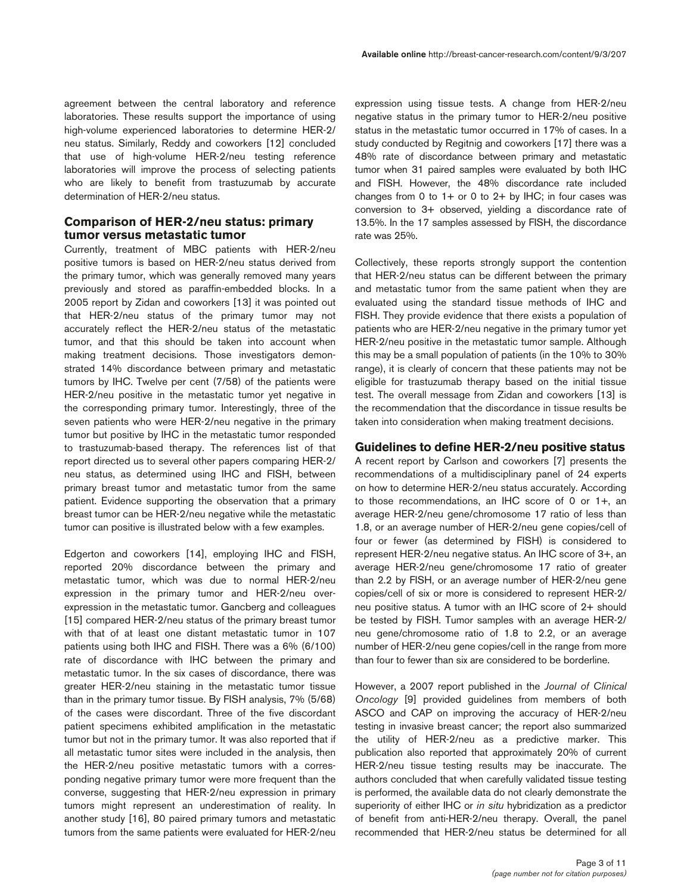agreement between the central laboratory and reference laboratories. These results support the importance of using high-volume experienced laboratories to determine HER-2/ neu status. Similarly, Reddy and coworkers [12] concluded that use of high-volume HER-2/neu testing reference laboratories will improve the process of selecting patients who are likely to benefit from trastuzumab by accurate determination of HER-2/neu status.

# **Comparison of HER-2/neu status: primary tumor versus metastatic tumor**

Currently, treatment of MBC patients with HER-2/neu positive tumors is based on HER-2/neu status derived from the primary tumor, which was generally removed many years previously and stored as paraffin-embedded blocks. In a 2005 report by Zidan and coworkers [13] it was pointed out that HER-2/neu status of the primary tumor may not accurately reflect the HER-2/neu status of the metastatic tumor, and that this should be taken into account when making treatment decisions. Those investigators demonstrated 14% discordance between primary and metastatic tumors by IHC. Twelve per cent (7/58) of the patients were HER-2/neu positive in the metastatic tumor yet negative in the corresponding primary tumor. Interestingly, three of the seven patients who were HER-2/neu negative in the primary tumor but positive by IHC in the metastatic tumor responded to trastuzumab-based therapy. The references list of that report directed us to several other papers comparing HER-2/ neu status, as determined using IHC and FISH, between primary breast tumor and metastatic tumor from the same patient. Evidence supporting the observation that a primary breast tumor can be HER-2/neu negative while the metastatic tumor can positive is illustrated below with a few examples.

Edgerton and coworkers [14], employing IHC and FISH, reported 20% discordance between the primary and metastatic tumor, which was due to normal HER-2/neu expression in the primary tumor and HER-2/neu overexpression in the metastatic tumor. Gancberg and colleagues [15] compared HER-2/neu status of the primary breast tumor with that of at least one distant metastatic tumor in 107 patients using both IHC and FISH. There was a 6% (6/100) rate of discordance with IHC between the primary and metastatic tumor. In the six cases of discordance, there was greater HER-2/neu staining in the metastatic tumor tissue than in the primary tumor tissue. By FISH analysis, 7% (5/68) of the cases were discordant. Three of the five discordant patient specimens exhibited amplification in the metastatic tumor but not in the primary tumor. It was also reported that if all metastatic tumor sites were included in the analysis, then the HER-2/neu positive metastatic tumors with a corresponding negative primary tumor were more frequent than the converse, suggesting that HER-2/neu expression in primary tumors might represent an underestimation of reality. In another study [16], 80 paired primary tumors and metastatic tumors from the same patients were evaluated for HER-2/neu

expression using tissue tests. A change from HER-2/neu negative status in the primary tumor to HER-2/neu positive status in the metastatic tumor occurred in 17% of cases. In a study conducted by Regitnig and coworkers [17] there was a 48% rate of discordance between primary and metastatic tumor when 31 paired samples were evaluated by both IHC and FISH. However, the 48% discordance rate included changes from 0 to  $1+$  or 0 to  $2+$  by IHC; in four cases was conversion to 3+ observed, yielding a discordance rate of 13.5%. In the 17 samples assessed by FISH, the discordance rate was 25%.

Collectively, these reports strongly support the contention that HER-2/neu status can be different between the primary and metastatic tumor from the same patient when they are evaluated using the standard tissue methods of IHC and FISH. They provide evidence that there exists a population of patients who are HER-2/neu negative in the primary tumor yet HER-2/neu positive in the metastatic tumor sample. Although this may be a small population of patients (in the 10% to 30% range), it is clearly of concern that these patients may not be eligible for trastuzumab therapy based on the initial tissue test. The overall message from Zidan and coworkers [13] is the recommendation that the discordance in tissue results be taken into consideration when making treatment decisions.

#### **Guidelines to define HER-2/neu positive status**

A recent report by Carlson and coworkers [7] presents the recommendations of a multidisciplinary panel of 24 experts on how to determine HER-2/neu status accurately. According to those recommendations, an IHC score of 0 or 1+, an average HER-2/neu gene/chromosome 17 ratio of less than 1.8, or an average number of HER-2/neu gene copies/cell of four or fewer (as determined by FISH) is considered to represent HER-2/neu negative status. An IHC score of 3+, an average HER-2/neu gene/chromosome 17 ratio of greater than 2.2 by FISH, or an average number of HER-2/neu gene copies/cell of six or more is considered to represent HER-2/ neu positive status. A tumor with an IHC score of 2+ should be tested by FISH. Tumor samples with an average HER-2/ neu gene/chromosome ratio of 1.8 to 2.2, or an average number of HER-2/neu gene copies/cell in the range from more than four to fewer than six are considered to be borderline.

However, a 2007 report published in the *Journal of Clinical Oncology* [9] provided guidelines from members of both ASCO and CAP on improving the accuracy of HER-2/neu testing in invasive breast cancer; the report also summarized the utility of HER-2/neu as a predictive marker. This publication also reported that approximately 20% of current HER-2/neu tissue testing results may be inaccurate. The authors concluded that when carefully validated tissue testing is performed, the available data do not clearly demonstrate the superiority of either IHC or *in situ* hybridization as a predictor of benefit from anti-HER-2/neu therapy. Overall, the panel recommended that HER-2/neu status be determined for all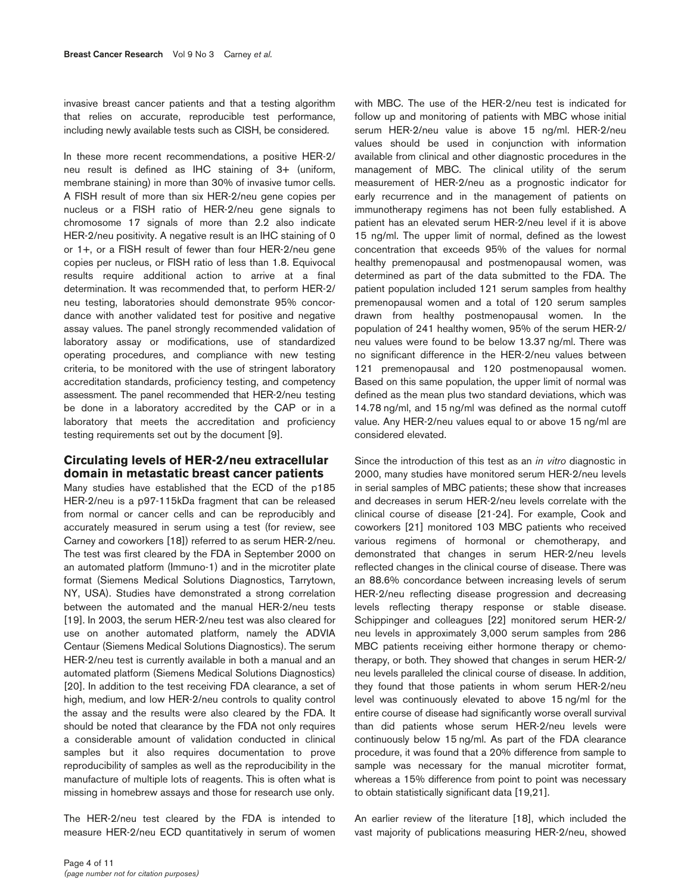invasive breast cancer patients and that a testing algorithm that relies on accurate, reproducible test performance, including newly available tests such as CISH, be considered.

In these more recent recommendations, a positive HER-2/ neu result is defined as IHC staining of 3+ (uniform, membrane staining) in more than 30% of invasive tumor cells. A FISH result of more than six HER-2/neu gene copies per nucleus or a FISH ratio of HER-2/neu gene signals to chromosome 17 signals of more than 2.2 also indicate HER-2/neu positivity. A negative result is an IHC staining of 0 or 1+, or a FISH result of fewer than four HER-2/neu gene copies per nucleus, or FISH ratio of less than 1.8. Equivocal results require additional action to arrive at a final determination. It was recommended that, to perform HER-2/ neu testing, laboratories should demonstrate 95% concordance with another validated test for positive and negative assay values. The panel strongly recommended validation of laboratory assay or modifications, use of standardized operating procedures, and compliance with new testing criteria, to be monitored with the use of stringent laboratory accreditation standards, proficiency testing, and competency assessment. The panel recommended that HER-2/neu testing be done in a laboratory accredited by the CAP or in a laboratory that meets the accreditation and proficiency testing requirements set out by the document [9].

# **Circulating levels of HER-2/neu extracellular domain in metastatic breast cancer patients**

Many studies have established that the ECD of the p185 HER-2/neu is a p97-115kDa fragment that can be released from normal or cancer cells and can be reproducibly and accurately measured in serum using a test (for review, see Carney and coworkers [18]) referred to as serum HER-2/neu. The test was first cleared by the FDA in September 2000 on an automated platform (Immuno-1) and in the microtiter plate format (Siemens Medical Solutions Diagnostics, Tarrytown, NY, USA). Studies have demonstrated a strong correlation between the automated and the manual HER-2/neu tests [19]. In 2003, the serum HER-2/neu test was also cleared for use on another automated platform, namely the ADVIA Centaur (Siemens Medical Solutions Diagnostics). The serum HER-2/neu test is currently available in both a manual and an automated platform (Siemens Medical Solutions Diagnostics) [20]. In addition to the test receiving FDA clearance, a set of high, medium, and low HER-2/neu controls to quality control the assay and the results were also cleared by the FDA. It should be noted that clearance by the FDA not only requires a considerable amount of validation conducted in clinical samples but it also requires documentation to prove reproducibility of samples as well as the reproducibility in the manufacture of multiple lots of reagents. This is often what is missing in homebrew assays and those for research use only.

The HER-2/neu test cleared by the FDA is intended to measure HER-2/neu ECD quantitatively in serum of women

with MBC. The use of the HER-2/neu test is indicated for follow up and monitoring of patients with MBC whose initial serum HER-2/neu value is above 15 ng/ml. HER-2/neu values should be used in conjunction with information available from clinical and other diagnostic procedures in the management of MBC. The clinical utility of the serum measurement of HER-2/neu as a prognostic indicator for early recurrence and in the management of patients on immunotherapy regimens has not been fully established. A patient has an elevated serum HER-2/neu level if it is above 15 ng/ml. The upper limit of normal, defined as the lowest concentration that exceeds 95% of the values for normal healthy premenopausal and postmenopausal women, was determined as part of the data submitted to the FDA. The patient population included 121 serum samples from healthy premenopausal women and a total of 120 serum samples drawn from healthy postmenopausal women. In the population of 241 healthy women, 95% of the serum HER-2/ neu values were found to be below 13.37 ng/ml. There was no significant difference in the HER-2/neu values between 121 premenopausal and 120 postmenopausal women. Based on this same population, the upper limit of normal was defined as the mean plus two standard deviations, which was 14.78 ng/ml, and 15 ng/ml was defined as the normal cutoff value. Any HER-2/neu values equal to or above 15 ng/ml are considered elevated.

Since the introduction of this test as an *in vitro* diagnostic in 2000, many studies have monitored serum HER-2/neu levels in serial samples of MBC patients; these show that increases and decreases in serum HER-2/neu levels correlate with the clinical course of disease [21-24]. For example, Cook and coworkers [21] monitored 103 MBC patients who received various regimens of hormonal or chemotherapy, and demonstrated that changes in serum HER-2/neu levels reflected changes in the clinical course of disease. There was an 88.6% concordance between increasing levels of serum HER-2/neu reflecting disease progression and decreasing levels reflecting therapy response or stable disease. Schippinger and colleagues [22] monitored serum HER-2/ neu levels in approximately 3,000 serum samples from 286 MBC patients receiving either hormone therapy or chemotherapy, or both. They showed that changes in serum HER-2/ neu levels paralleled the clinical course of disease. In addition, they found that those patients in whom serum HER-2/neu level was continuously elevated to above 15 ng/ml for the entire course of disease had significantly worse overall survival than did patients whose serum HER-2/neu levels were continuously below 15 ng/ml. As part of the FDA clearance procedure, it was found that a 20% difference from sample to sample was necessary for the manual microtiter format, whereas a 15% difference from point to point was necessary to obtain statistically significant data [19,21].

An earlier review of the literature [18], which included the vast majority of publications measuring HER-2/neu, showed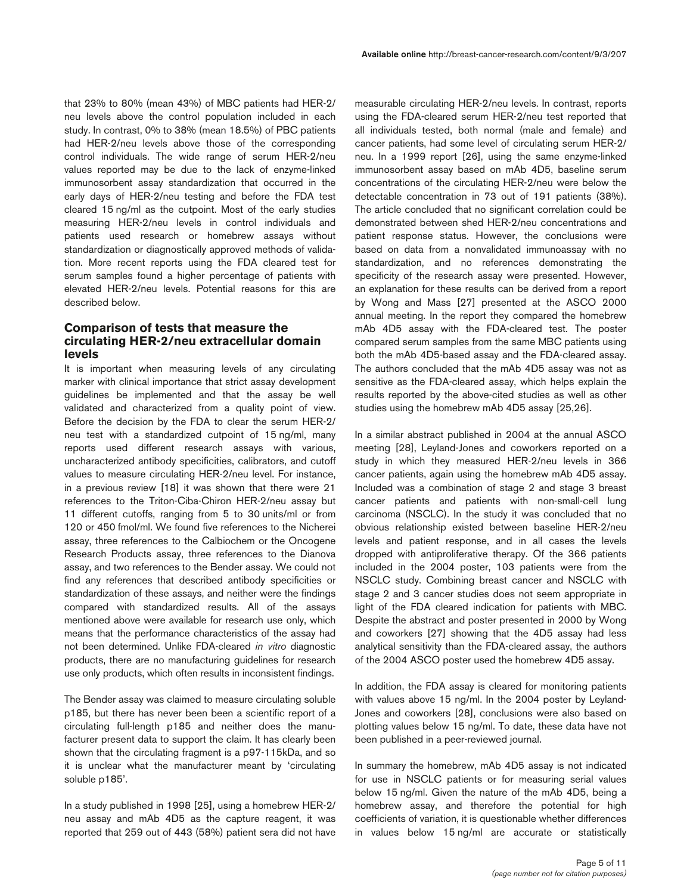that 23% to 80% (mean 43%) of MBC patients had HER-2/ neu levels above the control population included in each study. In contrast, 0% to 38% (mean 18.5%) of PBC patients had HER-2/neu levels above those of the corresponding control individuals. The wide range of serum HER-2/neu values reported may be due to the lack of enzyme-linked immunosorbent assay standardization that occurred in the early days of HER-2/neu testing and before the FDA test cleared 15 ng/ml as the cutpoint. Most of the early studies measuring HER-2/neu levels in control individuals and patients used research or homebrew assays without standardization or diagnostically approved methods of validation. More recent reports using the FDA cleared test for serum samples found a higher percentage of patients with elevated HER-2/neu levels. Potential reasons for this are described below.

# **Comparison of tests that measure the circulating HER-2/neu extracellular domain levels**

It is important when measuring levels of any circulating marker with clinical importance that strict assay development guidelines be implemented and that the assay be well validated and characterized from a quality point of view. Before the decision by the FDA to clear the serum HER-2/ neu test with a standardized cutpoint of 15 ng/ml, many reports used different research assays with various, uncharacterized antibody specificities, calibrators, and cutoff values to measure circulating HER-2/neu level. For instance, in a previous review [18] it was shown that there were 21 references to the Triton-Ciba-Chiron HER-2/neu assay but 11 different cutoffs, ranging from 5 to 30 units/ml or from 120 or 450 fmol/ml. We found five references to the Nicherei assay, three references to the Calbiochem or the Oncogene Research Products assay, three references to the Dianova assay, and two references to the Bender assay. We could not find any references that described antibody specificities or standardization of these assays, and neither were the findings compared with standardized results. All of the assays mentioned above were available for research use only, which means that the performance characteristics of the assay had not been determined. Unlike FDA-cleared *in vitro* diagnostic products, there are no manufacturing guidelines for research use only products, which often results in inconsistent findings.

The Bender assay was claimed to measure circulating soluble p185, but there has never been been a scientific report of a circulating full-length p185 and neither does the manufacturer present data to support the claim. It has clearly been shown that the circulating fragment is a p97-115kDa, and so it is unclear what the manufacturer meant by 'circulating soluble p185'.

In a study published in 1998 [25], using a homebrew HER-2/ neu assay and mAb 4D5 as the capture reagent, it was reported that 259 out of 443 (58%) patient sera did not have measurable circulating HER-2/neu levels. In contrast, reports using the FDA-cleared serum HER-2/neu test reported that all individuals tested, both normal (male and female) and cancer patients, had some level of circulating serum HER-2/ neu. In a 1999 report [26], using the same enzyme-linked immunosorbent assay based on mAb 4D5, baseline serum concentrations of the circulating HER-2/neu were below the detectable concentration in 73 out of 191 patients (38%). The article concluded that no significant correlation could be demonstrated between shed HER-2/neu concentrations and patient response status. However, the conclusions were based on data from a nonvalidated immunoassay with no standardization, and no references demonstrating the specificity of the research assay were presented. However, an explanation for these results can be derived from a report by Wong and Mass [27] presented at the ASCO 2000 annual meeting. In the report they compared the homebrew mAb 4D5 assay with the FDA-cleared test. The poster compared serum samples from the same MBC patients using both the mAb 4D5-based assay and the FDA-cleared assay. The authors concluded that the mAb 4D5 assay was not as sensitive as the FDA-cleared assay, which helps explain the results reported by the above-cited studies as well as other studies using the homebrew mAb 4D5 assay [25,26].

In a similar abstract published in 2004 at the annual ASCO meeting [28], Leyland-Jones and coworkers reported on a study in which they measured HER-2/neu levels in 366 cancer patients, again using the homebrew mAb 4D5 assay. Included was a combination of stage 2 and stage 3 breast cancer patients and patients with non-small-cell lung carcinoma (NSCLC). In the study it was concluded that no obvious relationship existed between baseline HER-2/neu levels and patient response, and in all cases the levels dropped with antiproliferative therapy. Of the 366 patients included in the 2004 poster, 103 patients were from the NSCLC study. Combining breast cancer and NSCLC with stage 2 and 3 cancer studies does not seem appropriate in light of the FDA cleared indication for patients with MBC. Despite the abstract and poster presented in 2000 by Wong and coworkers [27] showing that the 4D5 assay had less analytical sensitivity than the FDA-cleared assay, the authors of the 2004 ASCO poster used the homebrew 4D5 assay.

In addition, the FDA assay is cleared for monitoring patients with values above 15 ng/ml. In the 2004 poster by Leyland-Jones and coworkers [28], conclusions were also based on plotting values below 15 ng/ml. To date, these data have not been published in a peer-reviewed journal.

In summary the homebrew, mAb 4D5 assay is not indicated for use in NSCLC patients or for measuring serial values below 15 ng/ml. Given the nature of the mAb 4D5, being a homebrew assay, and therefore the potential for high coefficients of variation, it is questionable whether differences in values below 15 ng/ml are accurate or statistically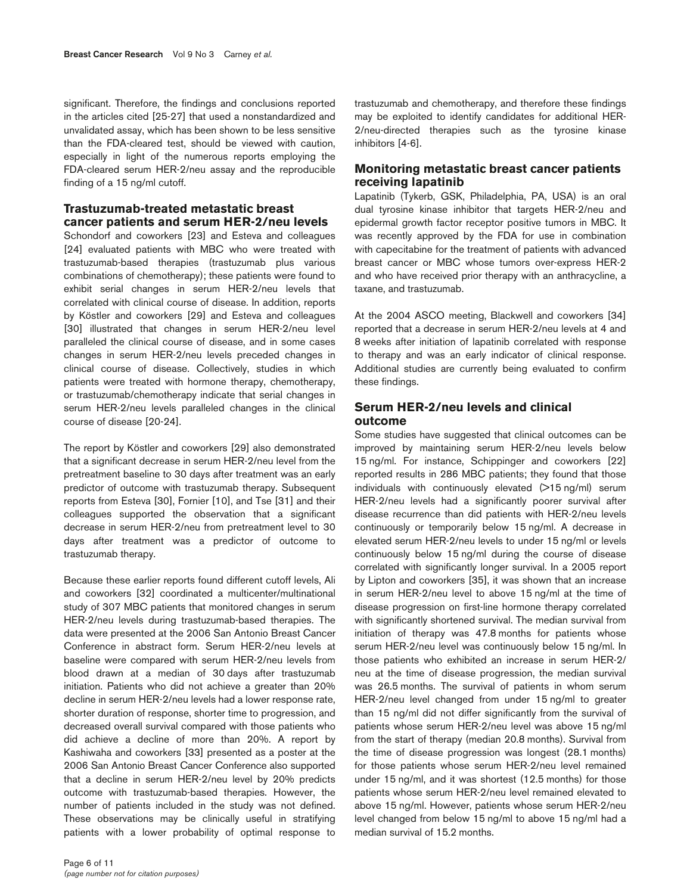significant. Therefore, the findings and conclusions reported in the articles cited [25-27] that used a nonstandardized and unvalidated assay, which has been shown to be less sensitive than the FDA-cleared test, should be viewed with caution, especially in light of the numerous reports employing the FDA-cleared serum HER-2/neu assay and the reproducible finding of a 15 ng/ml cutoff.

# **Trastuzumab-treated metastatic breast cancer patients and serum HER-2/neu levels**

Schondorf and coworkers [23] and Esteva and colleagues [24] evaluated patients with MBC who were treated with trastuzumab-based therapies (trastuzumab plus various combinations of chemotherapy); these patients were found to exhibit serial changes in serum HER-2/neu levels that correlated with clinical course of disease. In addition, reports by Köstler and coworkers [29] and Esteva and colleagues [30] illustrated that changes in serum HER-2/neu level paralleled the clinical course of disease, and in some cases changes in serum HER-2/neu levels preceded changes in clinical course of disease. Collectively, studies in which patients were treated with hormone therapy, chemotherapy, or trastuzumab/chemotherapy indicate that serial changes in serum HER-2/neu levels paralleled changes in the clinical course of disease [20-24].

The report by Köstler and coworkers [29] also demonstrated that a significant decrease in serum HER-2/neu level from the pretreatment baseline to 30 days after treatment was an early predictor of outcome with trastuzumab therapy. Subsequent reports from Esteva [30], Fornier [10], and Tse [31] and their colleagues supported the observation that a significant decrease in serum HER-2/neu from pretreatment level to 30 days after treatment was a predictor of outcome to trastuzumab therapy.

Because these earlier reports found different cutoff levels, Ali and coworkers [32] coordinated a multicenter/multinational study of 307 MBC patients that monitored changes in serum HER-2/neu levels during trastuzumab-based therapies. The data were presented at the 2006 San Antonio Breast Cancer Conference in abstract form. Serum HER-2/neu levels at baseline were compared with serum HER-2/neu levels from blood drawn at a median of 30 days after trastuzumab initiation. Patients who did not achieve a greater than 20% decline in serum HER-2/neu levels had a lower response rate, shorter duration of response, shorter time to progression, and decreased overall survival compared with those patients who did achieve a decline of more than 20%. A report by Kashiwaha and coworkers [33] presented as a poster at the 2006 San Antonio Breast Cancer Conference also supported that a decline in serum HER-2/neu level by 20% predicts outcome with trastuzumab-based therapies. However, the number of patients included in the study was not defined. These observations may be clinically useful in stratifying patients with a lower probability of optimal response to

trastuzumab and chemotherapy, and therefore these findings may be exploited to identify candidates for additional HER-2/neu-directed therapies such as the tyrosine kinase inhibitors [4-6].

#### **Monitoring metastatic breast cancer patients receiving lapatinib**

Lapatinib (Tykerb, GSK, Philadelphia, PA, USA) is an oral dual tyrosine kinase inhibitor that targets HER-2/neu and epidermal growth factor receptor positive tumors in MBC. It was recently approved by the FDA for use in combination with capecitabine for the treatment of patients with advanced breast cancer or MBC whose tumors over-express HER-2 and who have received prior therapy with an anthracycline, a taxane, and trastuzumab.

At the 2004 ASCO meeting, Blackwell and coworkers [34] reported that a decrease in serum HER-2/neu levels at 4 and 8 weeks after initiation of lapatinib correlated with response to therapy and was an early indicator of clinical response. Additional studies are currently being evaluated to confirm these findings.

# **Serum HER-2/neu levels and clinical outcome**

Some studies have suggested that clinical outcomes can be improved by maintaining serum HER-2/neu levels below 15 ng/ml. For instance, Schippinger and coworkers [22] reported results in 286 MBC patients; they found that those individuals with continuously elevated (>15 ng/ml) serum HER-2/neu levels had a significantly poorer survival after disease recurrence than did patients with HER-2/neu levels continuously or temporarily below 15 ng/ml. A decrease in elevated serum HER-2/neu levels to under 15 ng/ml or levels continuously below 15 ng/ml during the course of disease correlated with significantly longer survival. In a 2005 report by Lipton and coworkers [35], it was shown that an increase in serum HER-2/neu level to above 15 ng/ml at the time of disease progression on first-line hormone therapy correlated with significantly shortened survival. The median survival from initiation of therapy was 47.8 months for patients whose serum HER-2/neu level was continuously below 15 ng/ml. In those patients who exhibited an increase in serum HER-2/ neu at the time of disease progression, the median survival was 26.5 months. The survival of patients in whom serum HER-2/neu level changed from under 15 ng/ml to greater than 15 ng/ml did not differ significantly from the survival of patients whose serum HER-2/neu level was above 15 ng/ml from the start of therapy (median 20.8 months). Survival from the time of disease progression was longest (28.1 months) for those patients whose serum HER-2/neu level remained under 15 ng/ml, and it was shortest (12.5 months) for those patients whose serum HER-2/neu level remained elevated to above 15 ng/ml. However, patients whose serum HER-2/neu level changed from below 15 ng/ml to above 15 ng/ml had a median survival of 15.2 months.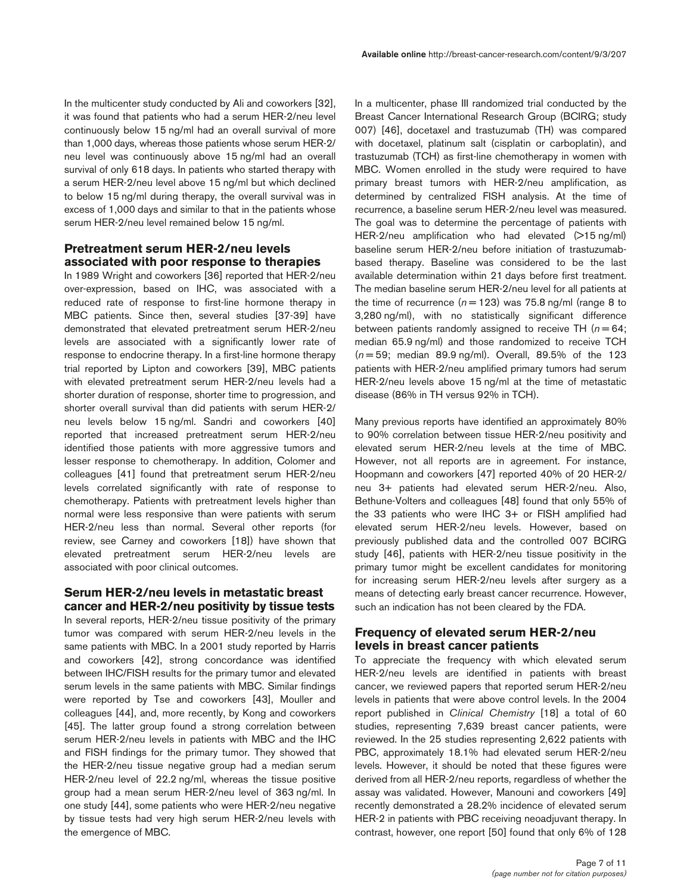In the multicenter study conducted by Ali and coworkers [32], it was found that patients who had a serum HER-2/neu level continuously below 15 ng/ml had an overall survival of more than 1,000 days, whereas those patients whose serum HER-2/ neu level was continuously above 15 ng/ml had an overall survival of only 618 days. In patients who started therapy with a serum HER-2/neu level above 15 ng/ml but which declined to below 15 ng/ml during therapy, the overall survival was in excess of 1,000 days and similar to that in the patients whose serum HER-2/neu level remained below 15 ng/ml.

# **Pretreatment serum HER-2/neu levels associated with poor response to therapies**

In 1989 Wright and coworkers [36] reported that HER-2/neu over-expression, based on IHC, was associated with a reduced rate of response to first-line hormone therapy in MBC patients. Since then, several studies [37-39] have demonstrated that elevated pretreatment serum HER-2/neu levels are associated with a significantly lower rate of response to endocrine therapy. In a first-line hormone therapy trial reported by Lipton and coworkers [39], MBC patients with elevated pretreatment serum HER-2/neu levels had a shorter duration of response, shorter time to progression, and shorter overall survival than did patients with serum HER-2/ neu levels below 15 ng/ml. Sandri and coworkers [40] reported that increased pretreatment serum HER-2/neu identified those patients with more aggressive tumors and lesser response to chemotherapy. In addition, Colomer and colleagues [41] found that pretreatment serum HER-2/neu levels correlated significantly with rate of response to chemotherapy. Patients with pretreatment levels higher than normal were less responsive than were patients with serum HER-2/neu less than normal. Several other reports (for review, see Carney and coworkers [18]) have shown that elevated pretreatment serum HER-2/neu levels are associated with poor clinical outcomes.

#### **Serum HER-2/neu levels in metastatic breast cancer and HER-2/neu positivity by tissue tests**

In several reports, HER-2/neu tissue positivity of the primary tumor was compared with serum HER-2/neu levels in the same patients with MBC. In a 2001 study reported by Harris and coworkers [42], strong concordance was identified between IHC/FISH results for the primary tumor and elevated serum levels in the same patients with MBC. Similar findings were reported by Tse and coworkers [43], Mouller and colleagues [44], and, more recently, by Kong and coworkers [45]*.* The latter group found a strong correlation between serum HER-2/neu levels in patients with MBC and the IHC and FISH findings for the primary tumor. They showed that the HER-2/neu tissue negative group had a median serum HER-2/neu level of 22.2 ng/ml, whereas the tissue positive group had a mean serum HER-2/neu level of 363 ng/ml. In one study [44], some patients who were HER-2/neu negative by tissue tests had very high serum HER-2/neu levels with the emergence of MBC.

In a multicenter, phase III randomized trial conducted by the Breast Cancer International Research Group (BCIRG; study 007) [46], docetaxel and trastuzumab (TH) was compared with docetaxel, platinum salt (cisplatin or carboplatin), and trastuzumab (TCH) as first-line chemotherapy in women with MBC. Women enrolled in the study were required to have primary breast tumors with HER-2/neu amplification, as determined by centralized FISH analysis. At the time of recurrence, a baseline serum HER-2/neu level was measured. The goal was to determine the percentage of patients with HER-2/neu amplification who had elevated  $(>15 \text{ na/ml})$ baseline serum HER-2/neu before initiation of trastuzumabbased therapy. Baseline was considered to be the last available determination within 21 days before first treatment. The median baseline serum HER-2/neu level for all patients at the time of recurrence  $(n = 123)$  was 75.8 ng/ml (range 8 to 3,280 ng/ml), with no statistically significant difference between patients randomly assigned to receive TH ( $n = 64$ ; median 65.9 ng/ml) and those randomized to receive TCH (*n* = 59; median 89.9 ng/ml). Overall, 89.5% of the 123 patients with HER-2/neu amplified primary tumors had serum HER-2/neu levels above 15 ng/ml at the time of metastatic disease (86% in TH versus 92% in TCH).

Many previous reports have identified an approximately 80% to 90% correlation between tissue HER-2/neu positivity and elevated serum HER-2/neu levels at the time of MBC. However, not all reports are in agreement. For instance, Hoopmann and coworkers [47] reported 40% of 20 HER-2/ neu 3+ patients had elevated serum HER-2/neu. Also, Bethune-Volters and colleagues [48] found that only 55% of the 33 patients who were IHC 3+ or FISH amplified had elevated serum HER-2/neu levels. However, based on previously published data and the controlled 007 BCIRG study [46], patients with HER-2/neu tissue positivity in the primary tumor might be excellent candidates for monitoring for increasing serum HER-2/neu levels after surgery as a means of detecting early breast cancer recurrence. However, such an indication has not been cleared by the FDA.

#### **Frequency of elevated serum HER-2/neu levels in breast cancer patients**

To appreciate the frequency with which elevated serum HER-2/neu levels are identified in patients with breast cancer, we reviewed papers that reported serum HER-2/neu levels in patients that were above control levels. In the 2004 report published in *Clinical Chemistry* [18] a total of 60 studies, representing 7,639 breast cancer patients, were reviewed. In the 25 studies representing 2,622 patients with PBC, approximately 18.1% had elevated serum HER-2/neu levels. However, it should be noted that these figures were derived from all HER-2/neu reports, regardless of whether the assay was validated. However, Manouni and coworkers [49] recently demonstrated a 28.2% incidence of elevated serum HER-2 in patients with PBC receiving neoadjuvant therapy. In contrast, however, one report [50] found that only 6% of 128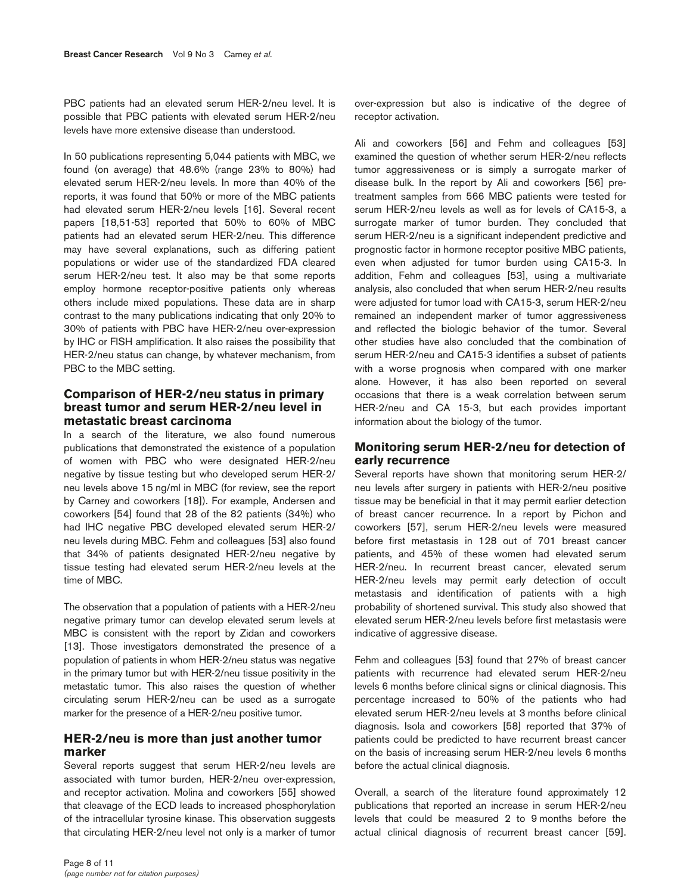PBC patients had an elevated serum HER-2/neu level. It is possible that PBC patients with elevated serum HER-2/neu levels have more extensive disease than understood.

In 50 publications representing 5,044 patients with MBC, we found (on average) that 48.6% (range 23% to 80%) had elevated serum HER-2/neu levels. In more than 40% of the reports, it was found that 50% or more of the MBC patients had elevated serum HER-2/neu levels [16]. Several recent papers [18,51-53] reported that 50% to 60% of MBC patients had an elevated serum HER-2/neu. This difference may have several explanations, such as differing patient populations or wider use of the standardized FDA cleared serum HER-2/neu test. It also may be that some reports employ hormone receptor-positive patients only whereas others include mixed populations. These data are in sharp contrast to the many publications indicating that only 20% to 30% of patients with PBC have HER-2/neu over-expression by IHC or FISH amplification. It also raises the possibility that HER-2/neu status can change, by whatever mechanism, from PBC to the MBC setting.

## **Comparison of HER-2/neu status in primary breast tumor and serum HER-2/neu level in metastatic breast carcinoma**

In a search of the literature, we also found numerous publications that demonstrated the existence of a population of women with PBC who were designated HER-2/neu negative by tissue testing but who developed serum HER-2/ neu levels above 15 ng/ml in MBC (for review, see the report by Carney and coworkers [18]). For example, Andersen and coworkers [54] found that 28 of the 82 patients (34%) who had IHC negative PBC developed elevated serum HER-2/ neu levels during MBC. Fehm and colleagues [53] also found that 34% of patients designated HER-2/neu negative by tissue testing had elevated serum HER-2/neu levels at the time of MBC.

The observation that a population of patients with a HER-2/neu negative primary tumor can develop elevated serum levels at MBC is consistent with the report by Zidan and coworkers [13]. Those investigators demonstrated the presence of a population of patients in whom HER-2/neu status was negative in the primary tumor but with HER-2/neu tissue positivity in the metastatic tumor. This also raises the question of whether circulating serum HER-2/neu can be used as a surrogate marker for the presence of a HER-2/neu positive tumor.

#### **HER-2/neu is more than just another tumor marker**

Several reports suggest that serum HER-2/neu levels are associated with tumor burden, HER-2/neu over-expression, and receptor activation. Molina and coworkers [55] showed that cleavage of the ECD leads to increased phosphorylation of the intracellular tyrosine kinase. This observation suggests that circulating HER-2/neu level not only is a marker of tumor

over-expression but also is indicative of the degree of receptor activation.

Ali and coworkers [56] and Fehm and colleagues [53] examined the question of whether serum HER-2/neu reflects tumor aggressiveness or is simply a surrogate marker of disease bulk. In the report by Ali and coworkers [56] pretreatment samples from 566 MBC patients were tested for serum HER-2/neu levels as well as for levels of CA15-3, a surrogate marker of tumor burden. They concluded that serum HER-2/neu is a significant independent predictive and prognostic factor in hormone receptor positive MBC patients, even when adjusted for tumor burden using CA15-3. In addition, Fehm and colleagues [53], using a multivariate analysis, also concluded that when serum HER-2/neu results were adjusted for tumor load with CA15-3, serum HER-2/neu remained an independent marker of tumor aggressiveness and reflected the biologic behavior of the tumor. Several other studies have also concluded that the combination of serum HER-2/neu and CA15-3 identifies a subset of patients with a worse prognosis when compared with one marker alone. However, it has also been reported on several occasions that there is a weak correlation between serum HER-2/neu and CA 15-3, but each provides important information about the biology of the tumor.

# **Monitoring serum HER-2/neu for detection of early recurrence**

Several reports have shown that monitoring serum HER-2/ neu levels after surgery in patients with HER-2/neu positive tissue may be beneficial in that it may permit earlier detection of breast cancer recurrence. In a report by Pichon and coworkers [57], serum HER-2/neu levels were measured before first metastasis in 128 out of 701 breast cancer patients, and 45% of these women had elevated serum HER-2/neu. In recurrent breast cancer, elevated serum HER-2/neu levels may permit early detection of occult metastasis and identification of patients with a high probability of shortened survival. This study also showed that elevated serum HER-2/neu levels before first metastasis were indicative of aggressive disease.

Fehm and colleagues [53] found that 27% of breast cancer patients with recurrence had elevated serum HER-2/neu levels 6 months before clinical signs or clinical diagnosis. This percentage increased to 50% of the patients who had elevated serum HER-2/neu levels at 3 months before clinical diagnosis. Isola and coworkers [58] reported that 37% of patients could be predicted to have recurrent breast cancer on the basis of increasing serum HER-2/neu levels 6 months before the actual clinical diagnosis.

Overall, a search of the literature found approximately 12 publications that reported an increase in serum HER-2/neu levels that could be measured 2 to 9 months before the actual clinical diagnosis of recurrent breast cancer [59].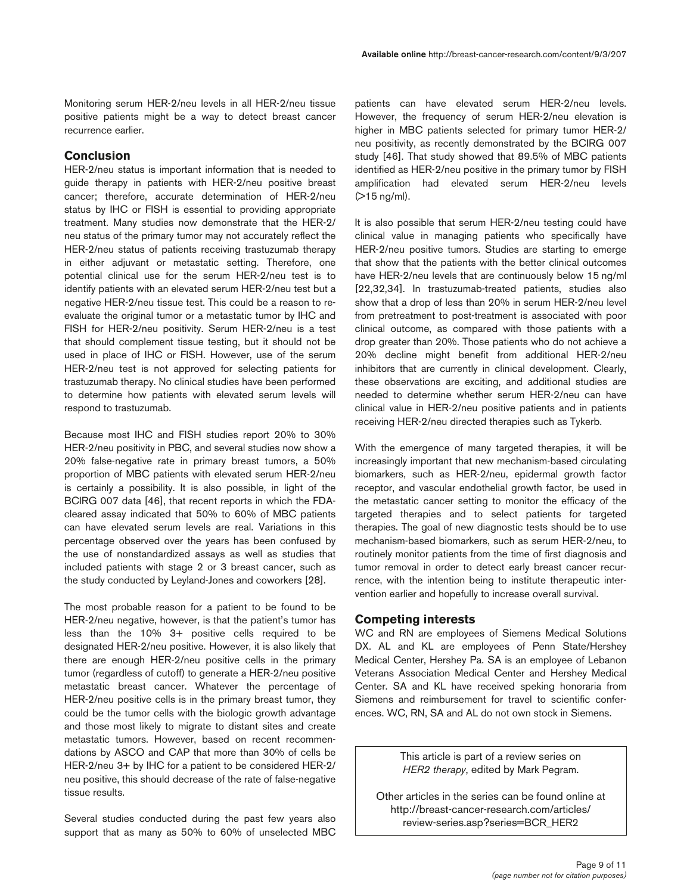Monitoring serum HER-2/neu levels in all HER-2/neu tissue positive patients might be a way to detect breast cancer recurrence earlier.

## **Conclusion**

HER-2/neu status is important information that is needed to guide therapy in patients with HER-2/neu positive breast cancer; therefore, accurate determination of HER-2/neu status by IHC or FISH is essential to providing appropriate treatment. Many studies now demonstrate that the HER-2/ neu status of the primary tumor may not accurately reflect the HER-2/neu status of patients receiving trastuzumab therapy in either adjuvant or metastatic setting. Therefore, one potential clinical use for the serum HER-2/neu test is to identify patients with an elevated serum HER-2/neu test but a negative HER-2/neu tissue test. This could be a reason to reevaluate the original tumor or a metastatic tumor by IHC and FISH for HER-2/neu positivity. Serum HER-2/neu is a test that should complement tissue testing, but it should not be used in place of IHC or FISH. However, use of the serum HER-2/neu test is not approved for selecting patients for trastuzumab therapy. No clinical studies have been performed to determine how patients with elevated serum levels will respond to trastuzumab.

Because most IHC and FISH studies report 20% to 30% HER-2/neu positivity in PBC, and several studies now show a 20% false-negative rate in primary breast tumors, a 50% proportion of MBC patients with elevated serum HER-2/neu is certainly a possibility. It is also possible, in light of the BCIRG 007 data [46], that recent reports in which the FDAcleared assay indicated that 50% to 60% of MBC patients can have elevated serum levels are real. Variations in this percentage observed over the years has been confused by the use of nonstandardized assays as well as studies that included patients with stage 2 or 3 breast cancer, such as the study conducted by Leyland-Jones and coworkers [28].

The most probable reason for a patient to be found to be HER-2/neu negative, however, is that the patient's tumor has less than the 10% 3+ positive cells required to be designated HER-2/neu positive. However, it is also likely that there are enough HER-2/neu positive cells in the primary tumor (regardless of cutoff) to generate a HER-2/neu positive metastatic breast cancer. Whatever the percentage of HER-2/neu positive cells is in the primary breast tumor, they could be the tumor cells with the biologic growth advantage and those most likely to migrate to distant sites and create metastatic tumors. However, based on recent recommendations by ASCO and CAP that more than 30% of cells be HER-2/neu 3+ by IHC for a patient to be considered HER-2/ neu positive, this should decrease of the rate of false-negative tissue results.

Several studies conducted during the past few years also support that as many as 50% to 60% of unselected MBC patients can have elevated serum HER-2/neu levels. However, the frequency of serum HER-2/neu elevation is higher in MBC patients selected for primary tumor HER-2/ neu positivity, as recently demonstrated by the BCIRG 007 study [46]. That study showed that 89.5% of MBC patients identified as HER-2/neu positive in the primary tumor by FISH amplification had elevated serum HER-2/neu levels (>15 ng/ml).

It is also possible that serum HER-2/neu testing could have clinical value in managing patients who specifically have HER-2/neu positive tumors. Studies are starting to emerge that show that the patients with the better clinical outcomes have HER-2/neu levels that are continuously below 15 ng/ml [22,32,34]. In trastuzumab-treated patients, studies also show that a drop of less than 20% in serum HER-2/neu level from pretreatment to post-treatment is associated with poor clinical outcome, as compared with those patients with a drop greater than 20%. Those patients who do not achieve a 20% decline might benefit from additional HER-2/neu inhibitors that are currently in clinical development. Clearly, these observations are exciting, and additional studies are needed to determine whether serum HER-2/neu can have clinical value in HER-2/neu positive patients and in patients receiving HER-2/neu directed therapies such as Tykerb.

With the emergence of many targeted therapies, it will be increasingly important that new mechanism-based circulating biomarkers, such as HER-2/neu, epidermal growth factor receptor, and vascular endothelial growth factor, be used in the metastatic cancer setting to monitor the efficacy of the targeted therapies and to select patients for targeted therapies. The goal of new diagnostic tests should be to use mechanism-based biomarkers, such as serum HER-2/neu, to routinely monitor patients from the time of first diagnosis and tumor removal in order to detect early breast cancer recurrence, with the intention being to institute therapeutic intervention earlier and hopefully to increase overall survival.

#### **Competing interests**

WC and RN are employees of Siemens Medical Solutions DX. AL and KL are employees of Penn State/Hershey Medical Center, Hershey Pa. SA is an employee of Lebanon Veterans Association Medical Center and Hershey Medical Center. SA and KL have received speking honoraria from Siemens and reimbursement for travel to scientific conferences. WC, RN, SA and AL do not own stock in Siemens.

> This article is part of a review series on *HER2 therapy*, edited by Mark Pegram.

Other articles in the series can be found online at http://breast-cancer-research.com/articles/ review-series.asp?series=BCR\_HER2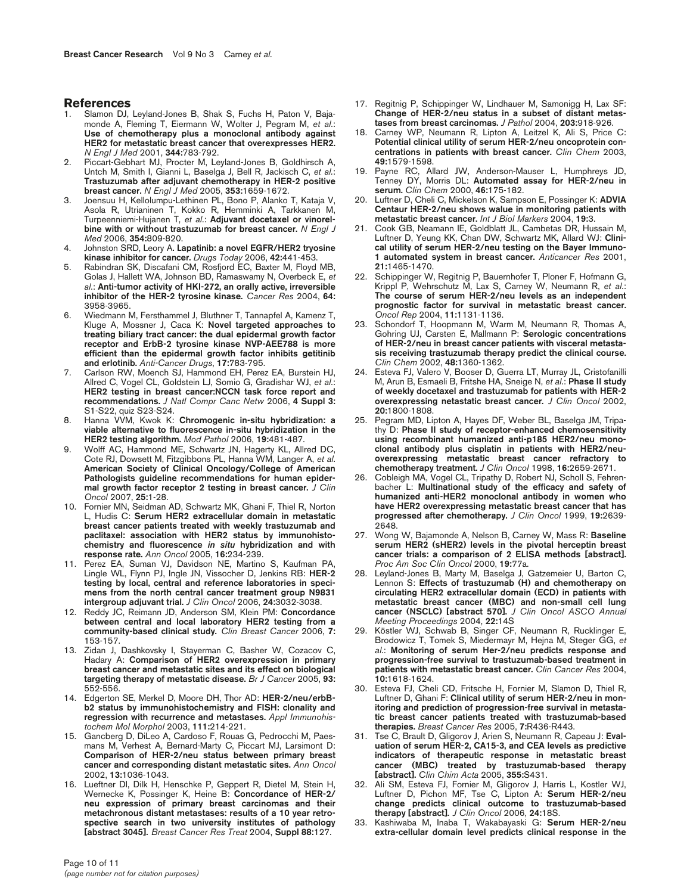#### **References**

- Slamon DJ, Leyland-Jones B, Shak S, Fuchs H, Paton V, Bajamonde A, Fleming T, Eiermann W, Wolter J, Pegram M, *et al*.: **Use of chemotherapy plus a monoclonal antibody against HER2 for metastatic breast cancer that overexpresses HER2.** *N Engl J Med* 2001, **344:**783-792.
- 2. Piccart-Gebhart MJ, Procter M, Leyland-Jones B, Goldhirsch A, Untch M, Smith I, Gianni L, Baselga J, Bell R, Jackisch C, *et al.*: **Trastuzumab after adjuvant chemotherapy in HER-2 positive breast cancer.** *N Engl J Med* 2005, **353:**1659-1672.
- 3. Joensuu H, Kellolumpu-Lethinen PL, Bono P, Alanko T, Kataja V, Asola R, Utrianinen T, Kokko R, Hemminki A, Tarkkanen M, Turpeenniemi-Hujanen T, *et al*.: **Adjuvant docetaxel or vinorelbine with or without trastuzumab for breast cancer.** *N Engl J Med* 2006, **354:**809-820.
- 4. Johnston SRD, Leory A**. Lapatinib: a novel EGFR/HER2 tryosine kinase inhibitor for cancer.** *Drugs Today* 2006, **42:**441-453.
- 5. Rabindran SK, Discafani CM, Rosfjord EC, Baxter M, Floyd MB, Golas J, Hallett WA, Johnson BD, Ramaswamy N, Overbeck E, *et al*.: **Anti-tumor activity of HKI-272, an orally active, irreversible inhibitor of the HER-2 tyrosine kinase***. Cancer Res* 2004, **64:** 3958-3965.
- 6. Wiedmann M, Fersthammel J, Bluthner T, Tannapfel A, Kamenz T, Kluge A, Mossner J, Caca K: **Novel targeted approaches to treating biliary tract cancer: the dual epidermal growth factor receptor and ErbB-2 tyrosine kinase NVP-AEE788 is more efficient than the epidermal growth factor inhibits getitinib and erlotinib.** *Anti-Cancer Drugs*, **17:**783-795.
- 7. Carlson RW, Moench SJ, Hammond EH, Perez EA, Burstein HJ, Allred C, Vogel CL, Goldstein LJ, Somio G, Gradishar WJ, *et al*.: **HER2 testing in breast cancer:NCCN task force report and recommendations.** *J Natl Compr Canc Netw* 2006, **4 Suppl 3:** S1-S22, quiz S23-S24.
- 8. Hanna VVM, Kwok K: **Chromogenic in-situ hybridization: a viable alternative to fluorescence in-situ hybridization in the HER2 testing algorithm.** *Mod Pathol* 2006, **19:**481-487.
- 9. Wolff AC, Hammond ME, Schwartz JN, Hagerty KL, Allred DC, Cote RJ, Dowsett M, Fitzgibbons PL, Hanna WM, Langer A, *et al*. **American Society of Clinical Oncology/College of American Pathologists guideline recommendations for human epidermal growth factor receptor 2 testing in breast cancer.** *J Clin Oncol* 2007, **25:**1-28.
- 10. Fornier MN, Seidman AD, Schwartz MK, Ghani F, Thiel R, Norton L, Hudis C: **Serum HER2 extracellular domain in metastatic breast cancer patients treated with weekly trastuzumab and paclitaxel: association with HER2 status by immunohistochemistry and fluorescence** *in situ* **hybridization and with response rate.** *Ann Oncol* 2005, **16:**234-239.
- 11. Perez EA, Suman VJ, Davidson NE, Martino S, Kaufman PA, Lingle WL, Flynn PJ, Ingle JN, Vissocher D, Jenkins RB: **HER-2 testing by local, central and reference laboratories in specimens from the north central cancer treatment group N9831 intergroup adjuvant trial.** *J Clin Oncol* 2006, **24:**3032-3038.
- 12. Reddy JC, Reimann JD, Anderson SM, Klein PM: **Concordance between central and local laboratory HER2 testing from a community-based clinical study***. Clin Breast Cancer* 2006, **7:** 153-157.
- 13. Zidan J, Dashkovsky I, Stayerman C, Basher W, Cozacov C, Hadary A: **Comparison of HER2 overexpression in primary breast cancer and metastatic sites and its effect on biological targeting therapy of metastatic disease.** *Br J Cancer* 2005, **93:** 552-556.
- 14. Edgerton SE, Merkel D, Moore DH, Thor AD: **HER-2/neu/erbBb2 status by immunohistochemistry and FISH: clonality and regression with recurrence and metastases.** *Appl Immunohistochem Mol Morphol* 2003, **111:**214-221.
- 15. Gancberg D, DiLeo A, Cardoso F, Rouas G, Pedrocchi M, Paesmans M, Verhest A, Bernard-Marty C, Piccart MJ, Larsimont D: **Comparison of HER-2/neu status between primary breast cancer and corresponding distant metastatic sites.** *Ann Oncol* 2002, **13:**1036-1043.
- 16. Lueftner DI, Dilk H, Henschke P, Geppert R, Dietel M, Stein H, Wernecke K, Possinger K, Heine B: **Concordance of HER-2/ neu expression of primary breast carcinomas and their metachronous distant metastases: results of a 10 year retrospective search in two university institutes of pathology [abstract 3045]***. Breast Cancer Res Treat* 2004, **Suppl 88:**127.
- 17. Regitnig P, Schippinger W, Lindhauer M, Samonigg H, Lax SF: **Change of HER-2/neu status in a subset of distant metastases from breast carcinomas.** *J Pathol* 2004, **203:**918-926.
- 18. Carney WP, Neumann R, Lipton A, Leitzel K, Ali S, Price C: **Potential clinical utility of serum HER-2/neu oncoprotein concentrations in patients with breast cancer.** *Clin Chem* 2003, **49:**1579-1598.
- 19. Payne RC, Allard JW, Anderson-Mauser L, Humphreys JD, Tenney DY, Morris DL: **Automated assay for HER-2/neu in serum.** *Clin Chem* 2000, **46:**175-182.
- 20. Luftner D, Cheli C, Mickelson K, Sampson E, Possinger K: **ADVIA Centaur HER-2/neu shows walue in monitoring patients with metastatic breast cancer.** *Int J Biol Markers* 2004, **19:**3.
- 21. Cook GB, Neamann IE, Goldblatt JL, Cambetas DR, Hussain M, Luftner D, Yeung KK, Chan DW, Schwartz MK, Allard WJ: **Clinical utility of serum HER-2/neu testing on the Bayer Immuno-1 automated system in breast cancer.** *Anticancer Res* 2001, **21:**1465-1470.
- Schippinger W, Regitnig P, Bauernhofer T, Ploner F, Hofmann G, Krippl P, Wehrschutz M, Lax S, Carney W, Neumann R, *et al*.: **The course of serum HER-2/neu levels as an independent prognostic factor for survival in metastatic breast cancer.** *Oncol Rep* 2004, **11:**1131-1136.
- 23. Schondorf T, Hoopmann M, Warm M, Neumann R, Thomas A, Gohring UJ, Carsten E, Mallmann P: **Serologic concentrations of HER-2/neu in breast cancer patients with visceral metastasis receiving trastuzumab therapy predict the clinical course.** *Clin Chem* 2002, **48:**1360-1362.
- 24. Esteva FJ, Valero V, Booser D, Guerra LT, Murray JL, Cristofanilli M, Arun B, Esmaeli B, Fritshe HA, Sneige N, *et al*.: **Phase II study of weekly docetaxel and trastuzumab for patients with HER-2 overexpressing netastatic breast cancer***. J Clin Oncol* 2002, **20:**1800-1808.
- 25. Pegram MD, Lipton A, Hayes DF, Weber BL, Baselga JM, Tripathy D: **Phase II study of receptor-enhanced chemosensitivity using recombinant humanized anti-p185 HER2/neu monoclonal antibody plus cisplatin in patients with HER2/neuoverexpressing metastatic breast cancer refractory to chemotherapy treatment.** *J Clin Oncol* 1998, **16:**2659-2671.
- 26. Cobleigh MA, Vogel CL, Tripathy D, Robert NJ, Scholl S, Fehrenbacher L: **Multinational study of the efficacy and safety of humanized anti-HER2 monoclonal antibody in women who have HER2 overexpressing metastatic breast cancer that has progressed after chemotherapy.** *J Clin Oncol* 1999, **19:**2639- 2648.
- 27. Wong W, Bajamonde A, Nelson B, Carney W, Mass R: **Baseline serum HER2 (sHER2) levels in the pivotal herceptin breast cancer trials: a comparison of 2 ELISA methods [abstract].** *Proc Am Soc Clin Oncol* 2000, **19:**77a.
- 28. Leyland-Jones B, Marty M, Baselga J, Gatzemeier U, Barton C, Lennon S: **Effects of trastuzumab (H) and chemotherapy on circulating HER2 extracellular domain (ECD) in patients with metastatic breast cancer (MBC) and non-small cell lung cancer (NSCLC) [abstract 570].** *J Clin Oncol ASCO Annual Meeting Proceedings* 2004, **22:**14S
- 29. Köstler WJ, Schwab B, Singer CF, Neumann R, Rucklinger E, Brodowicz T, Tomek S, Miedermayr M, Hejna M, Steger GG, *et al*.: **Monitoring of serum Her-2/neu predicts response and progression-free survival to trastuzumab-based treatment in patients with metastatic breast cancer.** *Clin Cancer Res* 2004, **10:**1618-1624.
- 30. Esteva FJ, Cheli CD, Fritsche H, Fornier M, Slamon D, Thiel R, Luftner D, Ghani F: **Clinical utility of serum HER-2/neu in monitoring and prediction of progression-free survival in metastatic breast cancer patients treated with trastuzumab-based therapies.** *Breast Cancer Res* 2005, **7:**R436-R443.
- 31. Tse C, Brault D, Gligorov J, Arien S, Neumann R, Capeau J: **Evaluation of serum HER-2, CA15-3, and CEA levels as predictive indicators of therapeutic response in metastatic breast cancer (MBC) treated by trastuzumab-based therapy [abstract].** *Clin Chim Acta* 2005, **355:**S431.
- 32. Ali SM, Esteva FJ, Fornier M, Gligorov J, Harris L, Kostler WJ, Luftner D, Pichon MF, Tse C, Lipton A: **Serum HER-2/neu change predicts clinical outcome to trastuzumab-based therapy [abstract]***. J Clin Oncol* 2006, **24:**18S.
- 33. Kashiwaba M, Inaba T, Wakabayaski G: **Serum HER-2/neu extra-cellular domain level predicts clinical response in the**